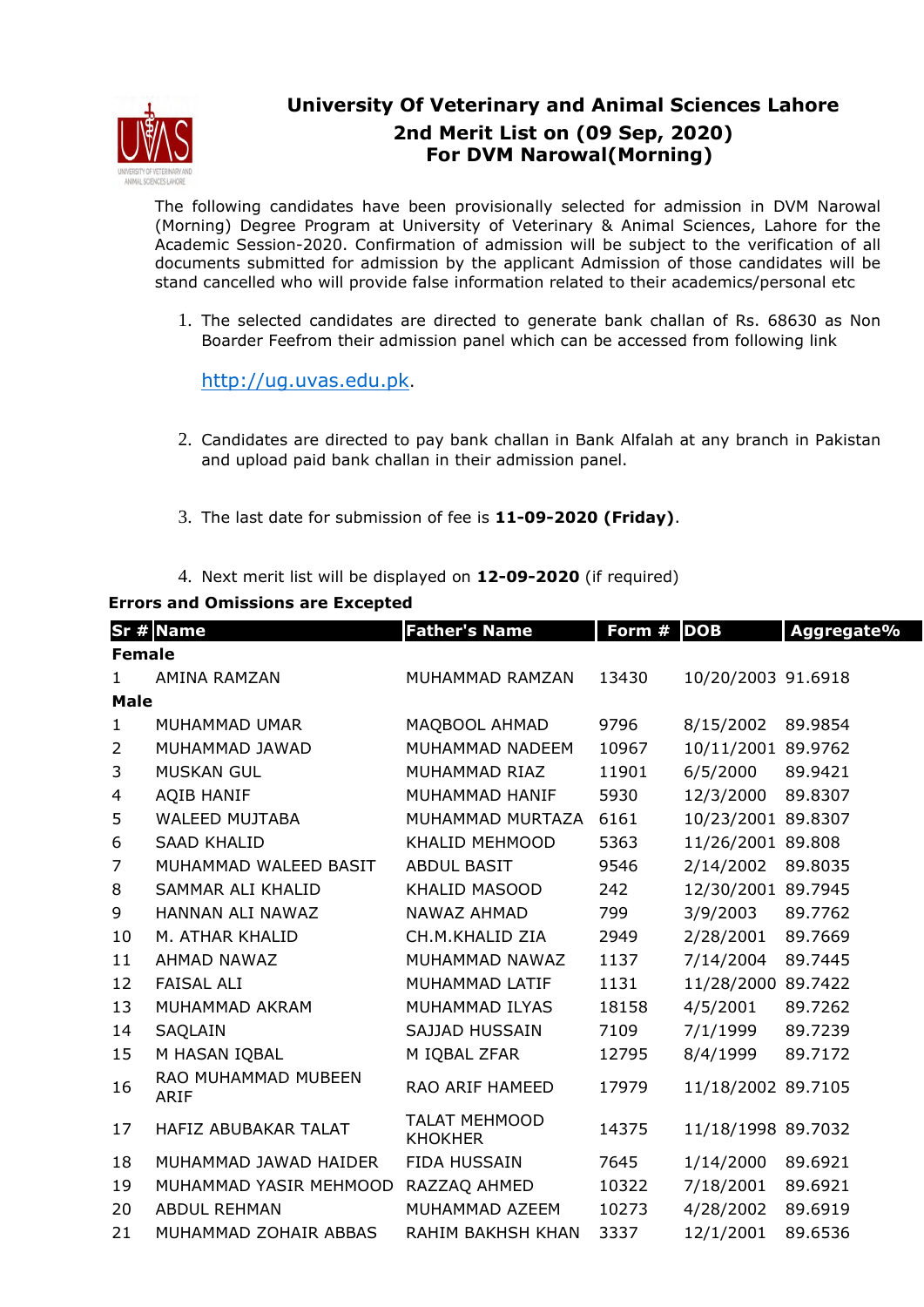

## **University Of Veterinary and Animal Sciences Lahore 2nd Merit List on (09 Sep, 2020) For DVM Narowal(Morning)**

The following candidates have been provisionally selected for admission in DVM Narowal (Morning) Degree Program at University of Veterinary & Animal Sciences, Lahore for the Academic Session-2020. Confirmation of admission will be subject to the verification of all documents submitted for admission by the applicant Admission of those candidates will be stand cancelled who will provide false information related to their academics/personal etc

1. The selected candidates are directed to generate bank challan of Rs. 68630 as Non Boarder Feefrom their admission panel which can be accessed from following link

http://ug.uvas.edu.pk.

- 2. Candidates are directed to pay bank challan in Bank Alfalah at any branch in Pakistan and upload paid bank challan in their admission panel.
- 3. The last date for submission of fee is **11-09-2020 (Friday)**.
- 4. Next merit list will be displayed on **12-09-2020** (if required)

## **Errors and Omissions are Excepted**

|                | Sr # Name                          | <b>Father's Name</b>                   | Form # | <b>DOB</b>         | Aggregate% |  |  |  |  |
|----------------|------------------------------------|----------------------------------------|--------|--------------------|------------|--|--|--|--|
| <b>Female</b>  |                                    |                                        |        |                    |            |  |  |  |  |
| $\mathbf{1}$   | AMINA RAMZAN                       | MUHAMMAD RAMZAN                        | 13430  | 10/20/2003 91.6918 |            |  |  |  |  |
| <b>Male</b>    |                                    |                                        |        |                    |            |  |  |  |  |
| $\mathbf{1}$   | MUHAMMAD UMAR                      | MAQBOOL AHMAD                          | 9796   | 8/15/2002          | 89.9854    |  |  |  |  |
| $\overline{2}$ | MUHAMMAD JAWAD                     | MUHAMMAD NADEEM                        | 10967  | 10/11/2001 89.9762 |            |  |  |  |  |
| 3              | <b>MUSKAN GUL</b>                  | MUHAMMAD RIAZ                          | 11901  | 6/5/2000           | 89.9421    |  |  |  |  |
| 4              | AQIB HANIF                         | MUHAMMAD HANIF                         | 5930   | 12/3/2000          | 89.8307    |  |  |  |  |
| 5              | WALEED MUJTABA                     | MUHAMMAD MURTAZA                       | 6161   | 10/23/2001 89.8307 |            |  |  |  |  |
| 6              | <b>SAAD KHALID</b>                 | KHALID MEHMOOD                         | 5363   | 11/26/2001 89.808  |            |  |  |  |  |
| 7              | MUHAMMAD WALEED BASIT              | <b>ABDUL BASIT</b>                     | 9546   | 2/14/2002          | 89.8035    |  |  |  |  |
| 8              | SAMMAR ALI KHALID                  | KHALID MASOOD                          | 242    | 12/30/2001 89.7945 |            |  |  |  |  |
| 9              | HANNAN ALI NAWAZ                   | NAWAZ AHMAD                            | 799    | 3/9/2003           | 89.7762    |  |  |  |  |
| 10             | M. ATHAR KHALID                    | CH.M.KHALID ZIA                        | 2949   | 2/28/2001          | 89.7669    |  |  |  |  |
| 11             | AHMAD NAWAZ                        | MUHAMMAD NAWAZ                         | 1137   | 7/14/2004          | 89.7445    |  |  |  |  |
| 12             | <b>FAISAL ALI</b>                  | MUHAMMAD LATIF                         | 1131   | 11/28/2000 89.7422 |            |  |  |  |  |
| 13             | MUHAMMAD AKRAM                     | MUHAMMAD ILYAS                         | 18158  | 4/5/2001           | 89.7262    |  |  |  |  |
| 14             | SAQLAIN                            | <b>SAJJAD HUSSAIN</b>                  | 7109   | 7/1/1999           | 89.7239    |  |  |  |  |
| 15             | M HASAN IQBAL                      | M IQBAL ZFAR                           | 12795  | 8/4/1999           | 89.7172    |  |  |  |  |
| 16             | RAO MUHAMMAD MUBEEN<br><b>ARIF</b> | RAO ARIF HAMEED                        | 17979  | 11/18/2002 89.7105 |            |  |  |  |  |
| 17             | HAFIZ ABUBAKAR TALAT               | <b>TALAT MEHMOOD</b><br><b>KHOKHER</b> | 14375  | 11/18/1998 89.7032 |            |  |  |  |  |
| 18             | MUHAMMAD JAWAD HAIDER              | FIDA HUSSAIN                           | 7645   | 1/14/2000          | 89.6921    |  |  |  |  |
| 19             | MUHAMMAD YASIR MEHMOOD             | RAZZAQ AHMED                           | 10322  | 7/18/2001          | 89.6921    |  |  |  |  |
| 20             | <b>ABDUL REHMAN</b>                | MUHAMMAD AZEEM                         | 10273  | 4/28/2002          | 89.6919    |  |  |  |  |
| 21             | MUHAMMAD ZOHAIR ABBAS              | RAHIM BAKHSH KHAN                      | 3337   | 12/1/2001          | 89.6536    |  |  |  |  |